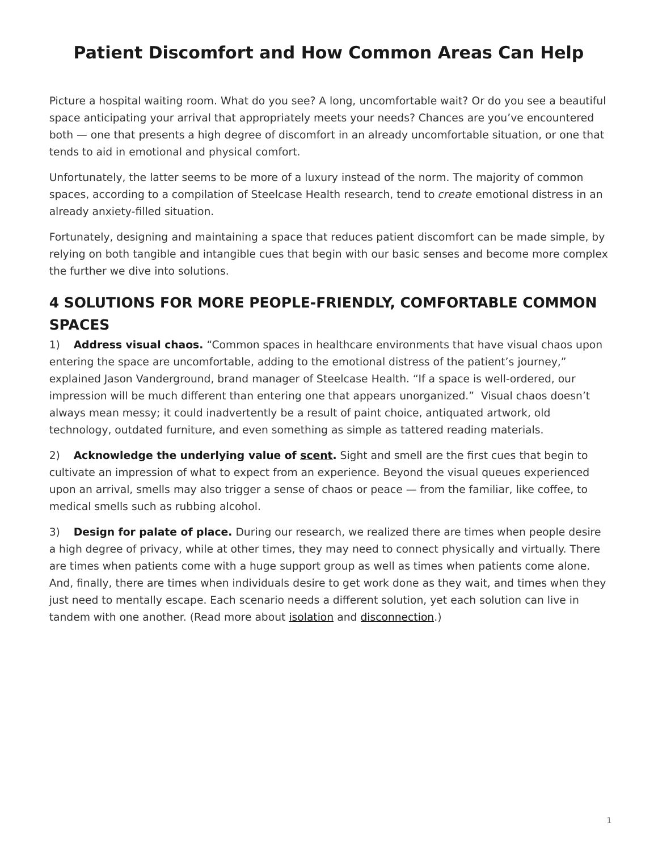## <span id="page-0-0"></span>**Patient Discomfort and How Common Areas Can Help**

Picture a hospital waiting room. What do you see? A long, uncomfortable wait? Or do you see a beautiful space anticipating your arrival that appropriately meets your needs? Chances are you've encountered both — one that presents a high degree of discomfort in an already uncomfortable situation, or one that tends to aid in emotional and physical comfort.

Unfortunately, the latter seems to be more of a luxury instead of the norm. The majority of common spaces, according to a compilation of Steelcase Health research, tend to *create* emotional distress in an already anxiety-filled situation.

Fortunately, designing and maintaining a space that reduces patient discomfort can be made simple, by relying on both tangible and intangible cues that begin with our basic senses and become more complex the further we dive into solutions.

### **4 SOLUTIONS FOR MORE PEOPLE-FRIENDLY, COMFORTABLE COMMON SPACES**

1) **Address visual chaos.** "Common spaces in healthcare environments that have visual chaos upon entering the space are uncomfortable, adding to the emotional distress of the patient's journey," explained Jason Vanderground, brand manager of Steelcase Health. "If a space is well-ordered, our impression will be much different than entering one that appears unorganized." Visual chaos doesn't always mean messy; it could inadvertently be a result of paint choice, antiquated artwork, old technology, outdated furniture, and even something as simple as tattered reading materials.

2) **Acknowledge the underlying value of [scent.](http://www.ambius.com/blog/5-ways-smell-influences-your-everyday-life/)** Sight and smell are the first cues that begin to cultivate an impression of what to expect from an experience. Beyond the visual queues experienced upon an arrival, smells may also trigger a sense of chaos or peace — from the familiar, like coffee, to medical smells such as rubbing alcohol.

3) **Design for palate of place.** During our research, we realized there are times when people desire a high degree of privacy, while at other times, they may need to connect physically and virtually. There are times when patients come with a huge support group as well as times when patients come alone. And, finally, there are times when individuals desire to get work done as they wait, and times when they just need to mentally escape. Each scenario needs a different solution, yet each solution can live in tandem with one another. (Read more about [isolation](https://www.steelcase.com/research/articles/patient-isolation-how-technology-can-solve-it/) and [disconnection](https://www.steelcase.com/research/articles/patient-disconnect-and-how-to-better-use-common-areas/).)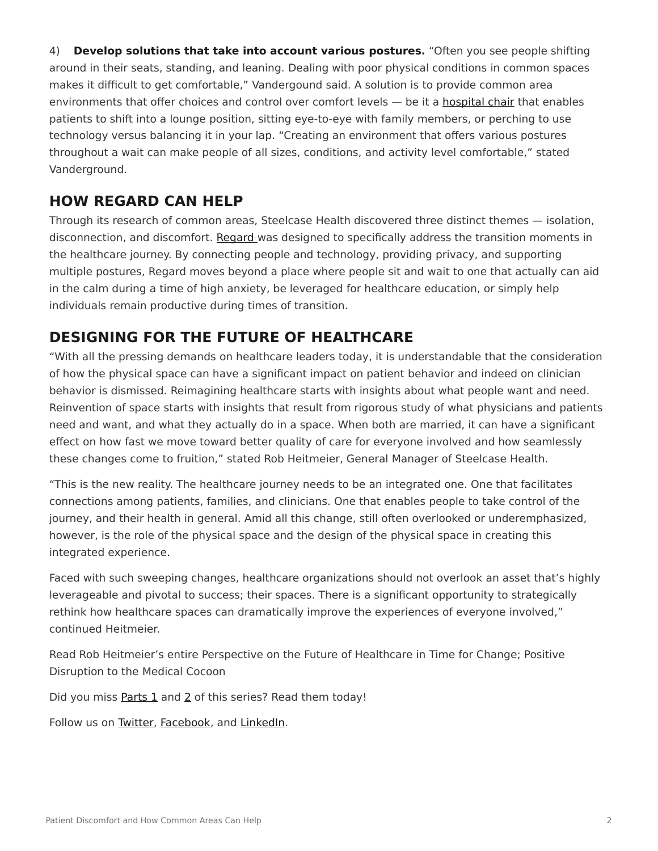4) **Develop solutions that take into account various postures.** "Often you see people shifting around in their seats, standing, and leaning. Dealing with poor physical conditions in common spaces makes it difficult to get comfortable," Vandergound said. A solution is to provide common area environments that offer choices and control over comfort levels — be it a [hospital chair](https://www.steelcase.com/products/patient-chairs/) that enables patients to shift into a lounge position, sitting eye-to-eye with family members, or perching to use technology versus balancing it in your lap. "Creating an environment that offers various postures throughout a wait can make people of all sizes, conditions, and activity level comfortable," stated Vanderground.

#### **HOW REGARD CAN HELP**

Through its research of common areas, Steelcase Health discovered three distinct themes — isolation, disconnection, and discomfort. [Regard](https://www.steelcase.com/products/bookcases-cabinets/regard/) was designed to specifically address the transition moments in the healthcare journey. By connecting people and technology, providing privacy, and supporting multiple postures, Regard moves beyond a place where people sit and wait to one that actually can aid in the calm during a time of high anxiety, be leveraged for healthcare education, or simply help individuals remain productive during times of transition.

#### **DESIGNING FOR THE FUTURE OF HEALTHCARE**

"With all the pressing demands on healthcare leaders today, it is understandable that the consideration of how the physical space can have a significant impact on patient behavior and indeed on clinician behavior is dismissed. Reimagining healthcare starts with insights about what people want and need. Reinvention of space starts with insights that result from rigorous study of what physicians and patients need and want, and what they actually do in a space. When both are married, it can have a significant effect on how fast we move toward better quality of care for everyone involved and how seamlessly these changes come to fruition," stated Rob Heitmeier, General Manager of Steelcase Health.

"This is the new reality. The healthcare journey needs to be an integrated one. One that facilitates connections among patients, families, and clinicians. One that enables people to take control of the journey, and their health in general. Amid all this change, still often overlooked or underemphasized, however, is the role of the physical space and the design of the physical space in creating this integrated experience.

Faced with such sweeping changes, healthcare organizations should not overlook an asset that's highly leverageable and pivotal to success; their spaces. There is a significant opportunity to strategically rethink how healthcare spaces can dramatically improve the experiences of everyone involved," continued Heitmeier.

Read Rob Heitmeier's entire Perspective on the Future of Healthcare in Time for Change; Positive Disruption to the Medical Cocoon

Did you miss [Parts 1](https://www.steelcase.com/posts/patient-isolation-how-technology-can-solve-it/) and [2](https://www.steelcase.com/posts/patient-disconnect-and-how-to-better-use-common-areas/) of this series? Read them today!

Follow us on [Twitter](http://twitter.com/steelcasehealth), [Facebook,](http://facebook.com/steelcasehealth) and [LinkedIn](http://www.linkedin.com/company/nurture-by-steelcase).